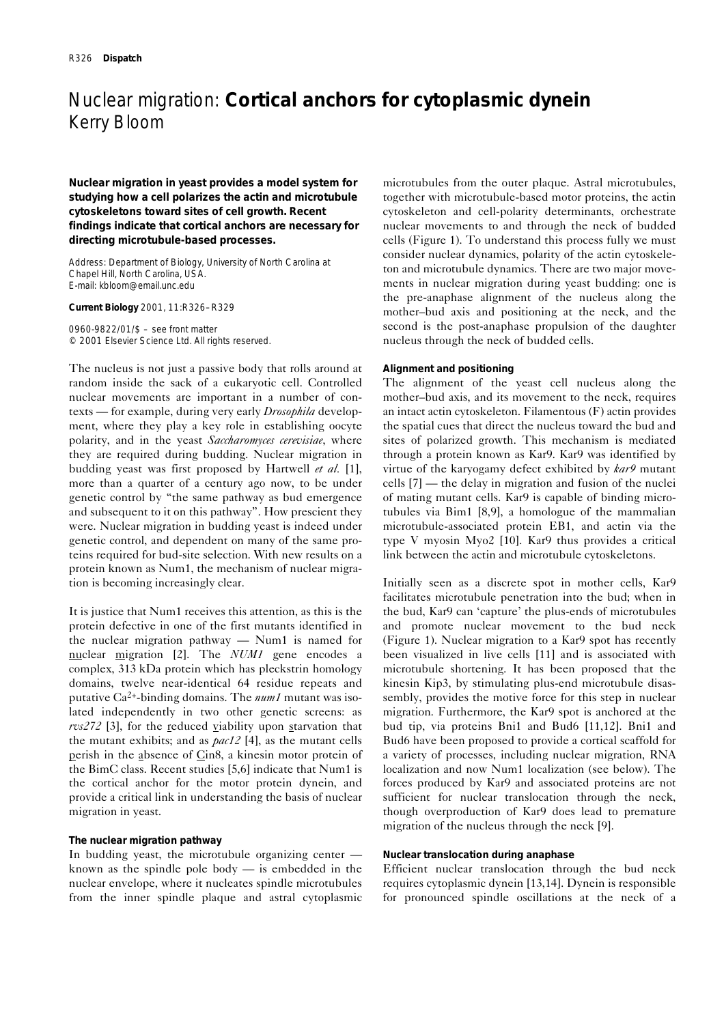# Nuclear migration: **Cortical anchors for cytoplasmic dynein** Kerry Bloom

**Nuclear migration in yeast provides a model system for studying how a cell polarizes the actin and microtubule cytoskeletons toward sites of cell growth. Recent findings indicate that cortical anchors are necessary for directing microtubule-based processes.**

Address: Department of Biology, University of North Carolina at Chapel Hill, North Carolina, USA. E-mail: kbloom@email.unc.edu

**Current Biology** 2001, 11:R326–R329

0960-9822/01/\$ – see front matter © 2001 Elsevier Science Ltd. All rights reserved.

The nucleus is not just a passive body that rolls around at random inside the sack of a eukaryotic cell. Controlled nuclear movements are important in a number of contexts — for example, during very early *Drosophila* development, where they play a key role in establishing oocyte polarity, and in the yeast *Saccharomyces cerevisiae*, where they are required during budding. Nuclear migration in budding yeast was first proposed by Hartwell *et al.* [1], more than a quarter of a century ago now, to be under genetic control by "the same pathway as bud emergence and subsequent to it on this pathway". How prescient they were. Nuclear migration in budding yeast is indeed under genetic control, and dependent on many of the same proteins required for bud-site selection. With new results on a protein known as Num1, the mechanism of nuclear migration is becoming increasingly clear.

It is justice that Num1 receives this attention, as this is the protein defective in one of the first mutants identified in the nuclear migration pathway — Num1 is named for nuclear migration [2]. The *NUM1* gene encodes a complex, 313 kDa protein which has pleckstrin homology domains, twelve near-identical 64 residue repeats and putative Ca2+-binding domains. The *num1* mutant was isolated independently in two other genetic screens: as *rvs272* [3], for the reduced viability upon starvation that the mutant exhibits; and as *pac12* [4], as the mutant cells perish in the absence of Cin8, a kinesin motor protein of the BimC class. Recent studies [5,6] indicate that Num1 is the cortical anchor for the motor protein dynein, and provide a critical link in understanding the basis of nuclear migration in yeast.

## **The nuclear migration pathway**

In budding yeast, the microtubule organizing center known as the spindle pole body — is embedded in the nuclear envelope, where it nucleates spindle microtubules from the inner spindle plaque and astral cytoplasmic microtubules from the outer plaque. Astral microtubules, together with microtubule-based motor proteins, the actin cytoskeleton and cell-polarity determinants, orchestrate nuclear movements to and through the neck of budded cells (Figure 1). To understand this process fully we must consider nuclear dynamics, polarity of the actin cytoskeleton and microtubule dynamics. There are two major movements in nuclear migration during yeast budding: one is the pre-anaphase alignment of the nucleus along the mother–bud axis and positioning at the neck, and the second is the post-anaphase propulsion of the daughter nucleus through the neck of budded cells.

## **Alignment and positioning**

The alignment of the yeast cell nucleus along the mother–bud axis, and its movement to the neck, requires an intact actin cytoskeleton. Filamentous (F) actin provides the spatial cues that direct the nucleus toward the bud and sites of polarized growth. This mechanism is mediated through a protein known as Kar9. Kar9 was identified by virtue of the karyogamy defect exhibited by *kar9* mutant cells [7] — the delay in migration and fusion of the nuclei of mating mutant cells. Kar9 is capable of binding microtubules via Bim1 [8,9], a homologue of the mammalian microtubule-associated protein EB1, and actin via the type V myosin Myo2 [10]. Kar9 thus provides a critical link between the actin and microtubule cytoskeletons.

Initially seen as a discrete spot in mother cells, Kar9 facilitates microtubule penetration into the bud; when in the bud, Kar9 can 'capture' the plus-ends of microtubules and promote nuclear movement to the bud neck (Figure 1). Nuclear migration to a Kar9 spot has recently been visualized in live cells [11] and is associated with microtubule shortening. It has been proposed that the kinesin Kip3, by stimulating plus-end microtubule disassembly, provides the motive force for this step in nuclear migration. Furthermore, the Kar9 spot is anchored at the bud tip, via proteins Bni1 and Bud6 [11,12]. Bni1 and Bud6 have been proposed to provide a cortical scaffold for a variety of processes, including nuclear migration, RNA localization and now Num1 localization (see below). The forces produced by Kar9 and associated proteins are not sufficient for nuclear translocation through the neck, though overproduction of Kar9 does lead to premature migration of the nucleus through the neck [9].

### **Nuclear translocation during anaphase**

Efficient nuclear translocation through the bud neck requires cytoplasmic dynein [13,14]. Dynein is responsible for pronounced spindle oscillations at the neck of a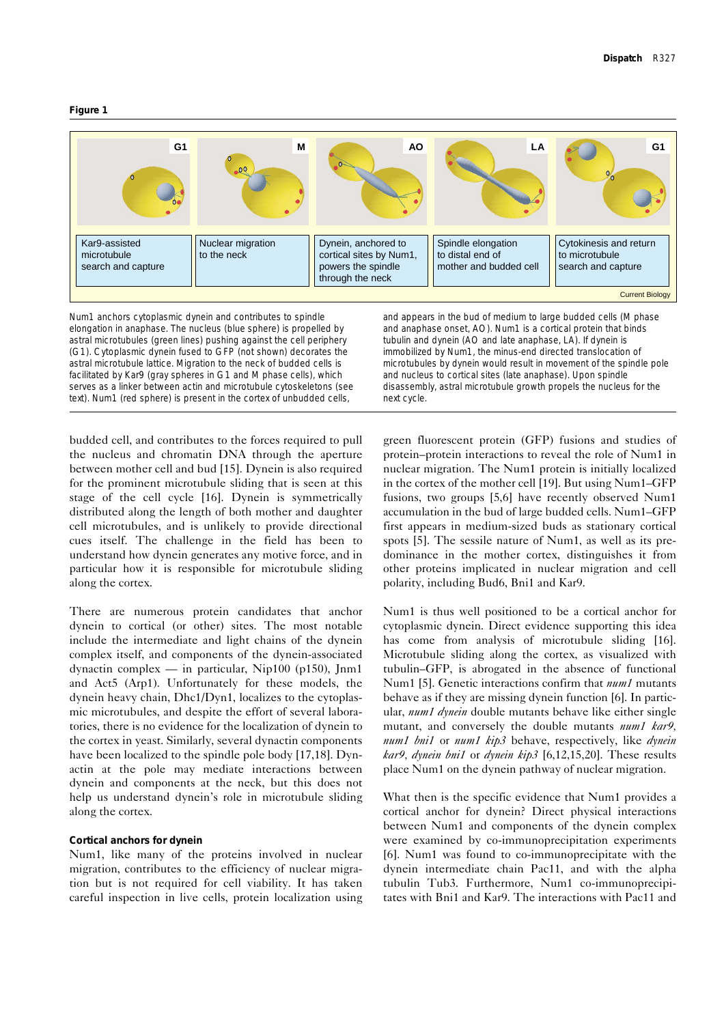



Num1 anchors cytoplasmic dynein and contributes to spindle elongation in anaphase. The nucleus (blue sphere) is propelled by astral microtubules (green lines) pushing against the cell periphery (G1). Cytoplasmic dynein fused to GFP (not shown) decorates the astral microtubule lattice. Migration to the neck of budded cells is facilitated by Kar9 (gray spheres in G1 and M phase cells), which serves as a linker between actin and microtubule cytoskeletons (see text). Num1 (red sphere) is present in the cortex of unbudded cells,

and appears in the bud of medium to large budded cells (M phase and anaphase onset, AO). Num1 is a cortical protein that binds tubulin and dynein (AO and late anaphase, LA). If dynein is immobilized by Num1, the minus-end directed translocation of microtubules by dynein would result in movement of the spindle pole and nucleus to cortical sites (late anaphase). Upon spindle disassembly, astral microtubule growth propels the nucleus for the next cycle.

budded cell, and contributes to the forces required to pull the nucleus and chromatin DNA through the aperture between mother cell and bud [15]. Dynein is also required for the prominent microtubule sliding that is seen at this stage of the cell cycle [16]. Dynein is symmetrically distributed along the length of both mother and daughter cell microtubules, and is unlikely to provide directional cues itself. The challenge in the field has been to understand how dynein generates any motive force, and in particular how it is responsible for microtubule sliding along the cortex.

There are numerous protein candidates that anchor dynein to cortical (or other) sites. The most notable include the intermediate and light chains of the dynein complex itself, and components of the dynein-associated dynactin complex — in particular, Nip100 (p150), Jnm1 and Act5 (Arp1). Unfortunately for these models, the dynein heavy chain, Dhc1/Dyn1, localizes to the cytoplasmic microtubules, and despite the effort of several laboratories, there is no evidence for the localization of dynein to the cortex in yeast. Similarly, several dynactin components have been localized to the spindle pole body [17,18]. Dynactin at the pole may mediate interactions between dynein and components at the neck, but this does not help us understand dynein's role in microtubule sliding along the cortex.

### **Cortical anchors for dynein**

Num1, like many of the proteins involved in nuclear migration, contributes to the efficiency of nuclear migration but is not required for cell viability. It has taken careful inspection in live cells, protein localization using green fluorescent protein (GFP) fusions and studies of protein–protein interactions to reveal the role of Num1 in nuclear migration. The Num1 protein is initially localized in the cortex of the mother cell [19]. But using Num1–GFP fusions, two groups [5,6] have recently observed Num1 accumulation in the bud of large budded cells. Num1–GFP first appears in medium-sized buds as stationary cortical spots [5]. The sessile nature of Num1, as well as its predominance in the mother cortex, distinguishes it from other proteins implicated in nuclear migration and cell polarity, including Bud6, Bni1 and Kar9.

Num1 is thus well positioned to be a cortical anchor for cytoplasmic dynein. Direct evidence supporting this idea has come from analysis of microtubule sliding [16]. Microtubule sliding along the cortex, as visualized with tubulin–GFP, is abrogated in the absence of functional Num1 [5]. Genetic interactions confirm that *num1* mutants behave as if they are missing dynein function [6]. In particular, *num1 dynein* double mutants behave like either single mutant, and conversely the double mutants *num1 kar9, num1 bni1* or *num1 kip3* behave, respectively, like *dynein kar9, dynein bni1* or *dynein kip3* [6,12,15,20]. These results place Num1 on the dynein pathway of nuclear migration.

What then is the specific evidence that Num1 provides a cortical anchor for dynein? Direct physical interactions between Num1 and components of the dynein complex were examined by co-immunoprecipitation experiments [6]. Num1 was found to co-immunoprecipitate with the dynein intermediate chain Pac11, and with the alpha tubulin Tub3. Furthermore, Num1 co-immunoprecipitates with Bni1 and Kar9. The interactions with Pac11 and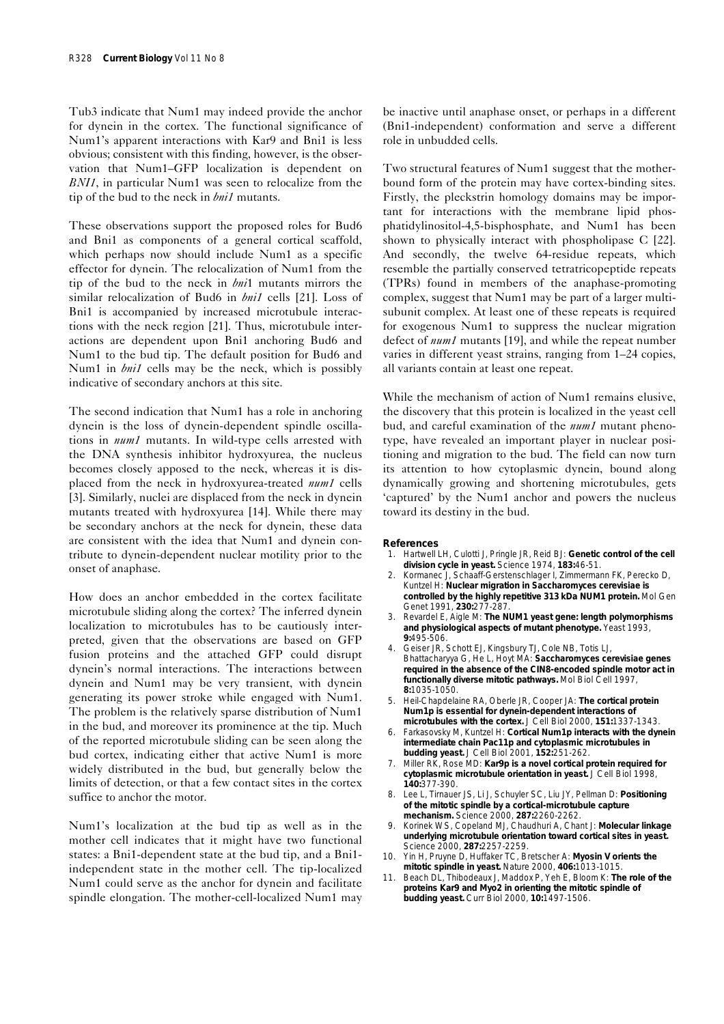Tub3 indicate that Num1 may indeed provide the anchor for dynein in the cortex. The functional significance of Num1's apparent interactions with Kar9 and Bni1 is less obvious; consistent with this finding, however, is the observation that Num1–GFP localization is dependent on *BNI1*, in particular Num1 was seen to relocalize from the tip of the bud to the neck in *bni1* mutants.

These observations support the proposed roles for Bud6 and Bni1 as components of a general cortical scaffold, which perhaps now should include Num1 as a specific effector for dynein. The relocalization of Num1 from the tip of the bud to the neck in *bni*1 mutants mirrors the similar relocalization of Bud6 in *bni1* cells [21]. Loss of Bni1 is accompanied by increased microtubule interactions with the neck region [21]. Thus, microtubule interactions are dependent upon Bni1 anchoring Bud6 and Num1 to the bud tip. The default position for Bud6 and Num1 in *bni1* cells may be the neck, which is possibly indicative of secondary anchors at this site.

The second indication that Num1 has a role in anchoring dynein is the loss of dynein-dependent spindle oscillations in *num1* mutants. In wild-type cells arrested with the DNA synthesis inhibitor hydroxyurea, the nucleus becomes closely apposed to the neck, whereas it is displaced from the neck in hydroxyurea-treated *num1* cells [3]. Similarly, nuclei are displaced from the neck in dynein mutants treated with hydroxyurea [14]. While there may be secondary anchors at the neck for dynein, these data are consistent with the idea that Num1 and dynein contribute to dynein-dependent nuclear motility prior to the onset of anaphase.

How does an anchor embedded in the cortex facilitate microtubule sliding along the cortex? The inferred dynein localization to microtubules has to be cautiously interpreted, given that the observations are based on GFP fusion proteins and the attached GFP could disrupt dynein's normal interactions. The interactions between dynein and Num1 may be very transient, with dynein generating its power stroke while engaged with Num1. The problem is the relatively sparse distribution of Num1 in the bud, and moreover its prominence at the tip. Much of the reported microtubule sliding can be seen along the bud cortex, indicating either that active Num1 is more widely distributed in the bud, but generally below the limits of detection, or that a few contact sites in the cortex suffice to anchor the motor.

Num1's localization at the bud tip as well as in the mother cell indicates that it might have two functional states: a Bni1-dependent state at the bud tip, and a Bni1 independent state in the mother cell. The tip-localized Num1 could serve as the anchor for dynein and facilitate spindle elongation. The mother-cell-localized Num1 may be inactive until anaphase onset, or perhaps in a different (Bni1-independent) conformation and serve a different role in unbudded cells.

Two structural features of Num1 suggest that the motherbound form of the protein may have cortex-binding sites. Firstly, the pleckstrin homology domains may be important for interactions with the membrane lipid phosphatidylinositol-4,5-bisphosphate, and Num1 has been shown to physically interact with phospholipase C [22]. And secondly, the twelve 64-residue repeats, which resemble the partially conserved tetratricopeptide repeats (TPRs) found in members of the anaphase-promoting complex, suggest that Num1 may be part of a larger multisubunit complex. At least one of these repeats is required for exogenous Num1 to suppress the nuclear migration defect of *num1* mutants [19], and while the repeat number varies in different yeast strains, ranging from 1–24 copies, all variants contain at least one repeat.

While the mechanism of action of Num1 remains elusive, the discovery that this protein is localized in the yeast cell bud, and careful examination of the *num1* mutant phenotype, have revealed an important player in nuclear positioning and migration to the bud. The field can now turn its attention to how cytoplasmic dynein, bound along dynamically growing and shortening microtubules, gets 'captured' by the Num1 anchor and powers the nucleus toward its destiny in the bud.

#### **References**

- 1. Hartwell LH, Culotti J, Pringle JR, Reid BJ: **Genetic control of the cell division cycle in yeast.** *Science* 1974, **183:**46-51.
- 2. Kormanec J, Schaaff-Gerstenschlager I, Zimmermann FK, Perecko D, Kuntzel H: **Nuclear migration in** *Saccharomyces cerevisiae* **is controlled by the highly repetitive 313 kDa NUM1 protein.** *Mol Gen Genet* 1991, **230:**277-287.
- 3. Revardel E, Aigle M: **The** *NUM1* **yeast gene: length polymorphisms and physiological aspects of mutant phenotype.** *Yeast* 1993, **9:**495-506.
- 4. Geiser JR, Schott EJ, Kingsbury TJ, Cole NB, Totis LJ, Bhattacharyya G, He L, Hoyt MA: *Saccharomyces cerevisiae* **genes required in the absence of the CIN8-encoded spindle motor act in functionally diverse mitotic pathways.** *Mol Biol Cell* 1997, **8:**1035-1050.
- 5. Heil-Chapdelaine RA, Oberle JR, Cooper JA: **The cortical protein Num1p is essential for dynein-dependent interactions of microtubules with the cortex.** *J Cell Biol* 2000, **151:**1337-1343.
- 6. Farkasovsky M, Kuntzel H: **Cortical Num1p interacts with the dynein intermediate chain Pac11p and cytoplasmic microtubules in budding yeast.** *J Cell Biol* 2001, **152:**251-262.
- 7. Miller RK, Rose MD: **Kar9p is a novel cortical protein required for cytoplasmic microtubule orientation in yeast.** *J Cell Biol* 1998, **140:**377-390.
- 8. Lee L, Tirnauer JS, Li J, Schuyler SC, Liu JY, Pellman D: **Positioning of the mitotic spindle by a cortical-microtubule capture mechanism.** *Science* 2000, **287:**2260-2262.
- 9. Korinek WS, Copeland MJ, Chaudhuri A, Chant J: **Molecular linkage underlying microtubule orientation toward cortical sites in yeast.** *Science* 2000, **287:**2257-2259.
- 10. Yin H, Pruyne D, Huffaker TC, Bretscher A: **Myosin V orients the mitotic spindle in yeast.** *Nature* 2000, **406:**1013-1015.
- 11. Beach DL, Thibodeaux J, Maddox P, Yeh E, Bloom K: **The role of the proteins Kar9 and Myo2 in orienting the mitotic spindle of budding yeast.** *Curr Biol* 2000, **10:**1497-1506.